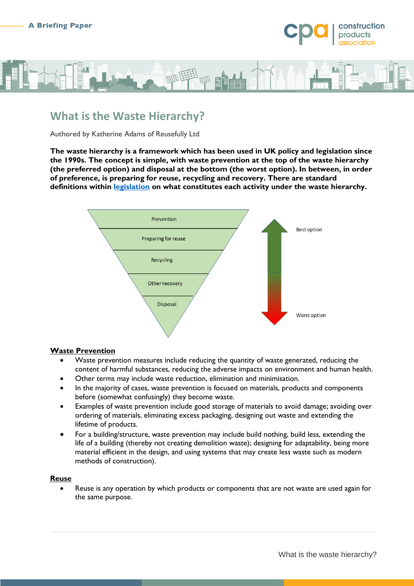



# **What is the Waste Hierarchy?**

Authored by Katherine Adams of Reusefully Ltd

**The waste hierarchy is a framework which has been used in UK policy and legislation since the 1990s. The concept is simple, with waste prevention at the top of the waste hierarchy (the preferred option) and disposal at the bottom (the worst option). In between, in order of preference, is preparing for reuse, recycling and recovery. There are standard definitions within [legislation](https://www.legislation.gov.uk/uksi/2011/988/regulation/4/made) on what constitutes each activity under the waste hierarchy.**



### **Waste Prevention**

- Waste prevention measures include reducing the quantity of waste generated, reducing the content of harmful substances, reducing the adverse impacts on environment and human health.
- Other terms may include waste reduction, elimination and minimisation.
- In the majority of cases, waste prevention is focused on materials, products and components before (somewhat confusingly) they become waste.
- Examples of waste prevention include good storage of materials to avoid damage; avoiding over ordering of materials, eliminating excess packaging, designing out waste and extending the lifetime of products.
- For a building/structure, waste prevention may include build nothing, build less, extending the life of a building (thereby not creating demolition waste); designing for adaptability, being more material efficient in the design, and using systems that may create less waste such as modern methods of construction).

### **Reuse**

 Reuse is any operation by which products or components that are not waste are used again for the same purpose.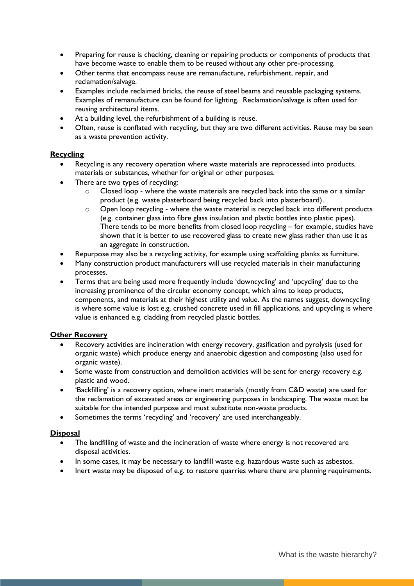- Preparing for reuse is checking, cleaning or repairing products or components of products that have become waste to enable them to be reused without any other pre-processing.
- Other terms that encompass reuse are remanufacture, refurbishment, repair, and reclamation/salvage.
- Examples include reclaimed bricks, the reuse of steel beams and reusable packaging systems. Examples of remanufacture can be found for lighting. Reclamation/salvage is often used for reusing architectural items.
- At a building level, the refurbishment of a building is reuse.
- Often, reuse is conflated with recycling, but they are two different activities. Reuse may be seen as a waste prevention activity.

# **Recycling**

- Recycling is any recovery operation where waste materials are reprocessed into products, materials or substances, whether for original or other purposes.
- There are two types of recycling:
	- $\circ$  Closed loop where the waste materials are recycled back into the same or a similar product (e.g. waste plasterboard being recycled back into plasterboard).
	- o Open loop recycling where the waste material is recycled back into different products (e.g. container glass into fibre glass insulation and plastic bottles into plastic pipes). There tends to be more benefits from closed loop recycling – for example, studies have shown that it is better to use recovered glass to create new glass rather than use it as an aggregate in construction.
- Repurpose may also be a recycling activity, for example using scaffolding planks as furniture.
- Many construction product manufacturers will use recycled materials in their manufacturing processes.
- Terms that are being used more frequently include 'downcycling' and 'upcycling' due to the increasing prominence of the circular economy concept, which aims to keep products, components, and materials at their highest utility and value. As the names suggest, downcycling is where some value is lost e.g. crushed concrete used in fill applications, and upcycling is where value is enhanced e.g. cladding from recycled plastic bottles.

# **Other Recovery**

- Recovery activities are incineration with energy recovery, gasification and pyrolysis (used for organic waste) which produce energy and anaerobic digestion and composting (also used for organic waste).
- Some waste from construction and demolition activities will be sent for energy recovery e.g. plastic and wood.
- 'Backfilling' is a recovery option, where inert materials (mostly from C&D waste) are used for the reclamation of excavated areas or engineering purposes in landscaping. The waste must be suitable for the intended purpose and must substitute non-waste products.
- Sometimes the terms 'recycling' and 'recovery' are used interchangeably.

### **Disposal**

- The landfilling of waste and the incineration of waste where energy is not recovered are disposal activities.
- In some cases, it may be necessary to landfill waste e.g. hazardous waste such as asbestos.
- Inert waste may be disposed of e.g. to restore quarries where there are planning requirements.